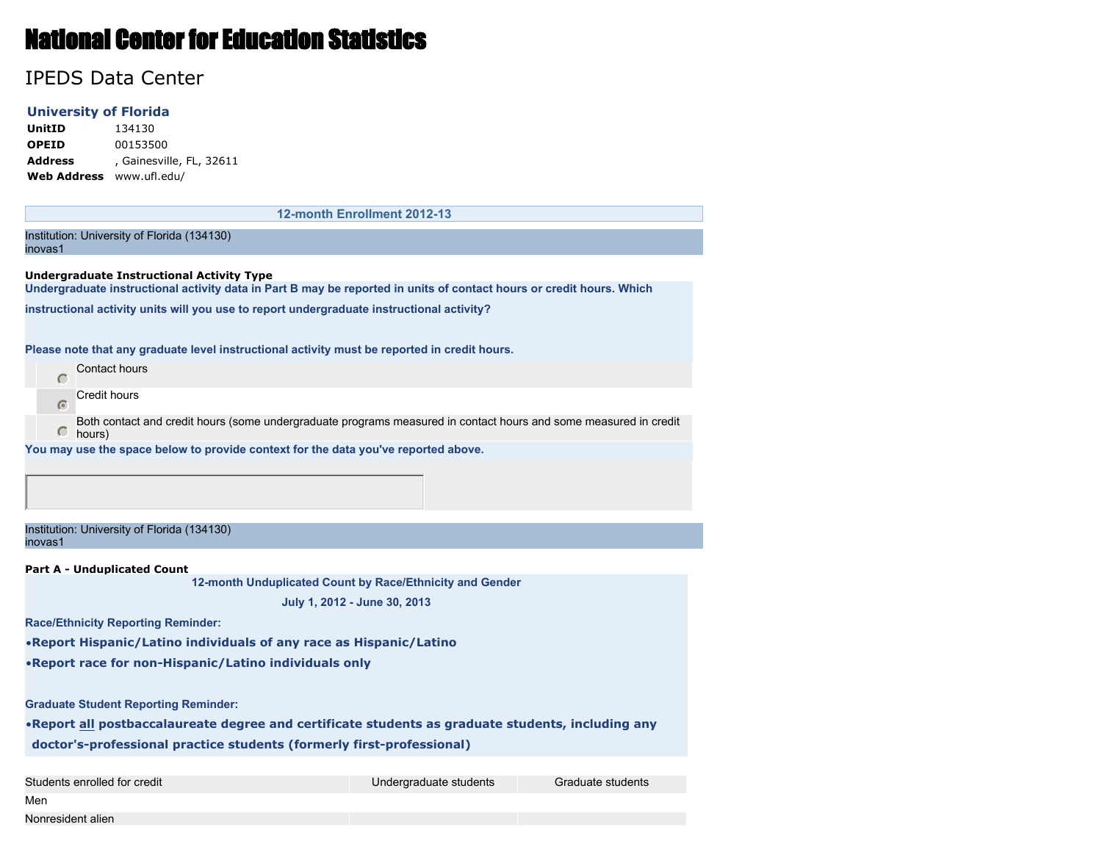## National Center for Education Statistics

## IPEDS Data Center

## **University of Florida**

**UnitID** 134130 **OPEID** 00153500 **Address** , Gainesville, FL, 32611 **Web Address** www.ufl.edu/

**12-month Enrollment 2012-13**

Institution: University of Florida (134130) inovas1

**Undergraduate Instructional Activity Type Undergraduate instructional activity data in Part B may be reported in units of contact hours or credit hours. Which**

**instructional activity units will you use to report undergraduate instructional activity?**

**Please note that any graduate level instructional activity must be reported in credit hours.**

|  | Contact hours                                                                                                              |
|--|----------------------------------------------------------------------------------------------------------------------------|
|  | Credit hours                                                                                                               |
|  | Both contact and credit hours (some undergraduate programs measured in contact hours and some measured in credit<br>hours) |
|  | You may use the space below to provide context for the data you've reported above.                                         |

Institution: University of Florida (134130) inovas1

**Part A - Unduplicated Count**

**12-month Unduplicated Count by Race/Ethnicity and Gender**

**July 1, 2012 - June 30, 2013**

**Race/Ethnicity Reporting Reminder:**

•**Report Hispanic/Latino individuals of any race as Hispanic/Latino**

•**Report race for non-Hispanic/Latino individuals only**

**Graduate Student Reporting Reminder:**

•**Report all postbaccalaureate degree and certificate students as graduate students, including any doctor's-professional practice students (formerly first-professional)**

Students enrolled for credit Undergraduate students Graduate students

Men

Nonresident alien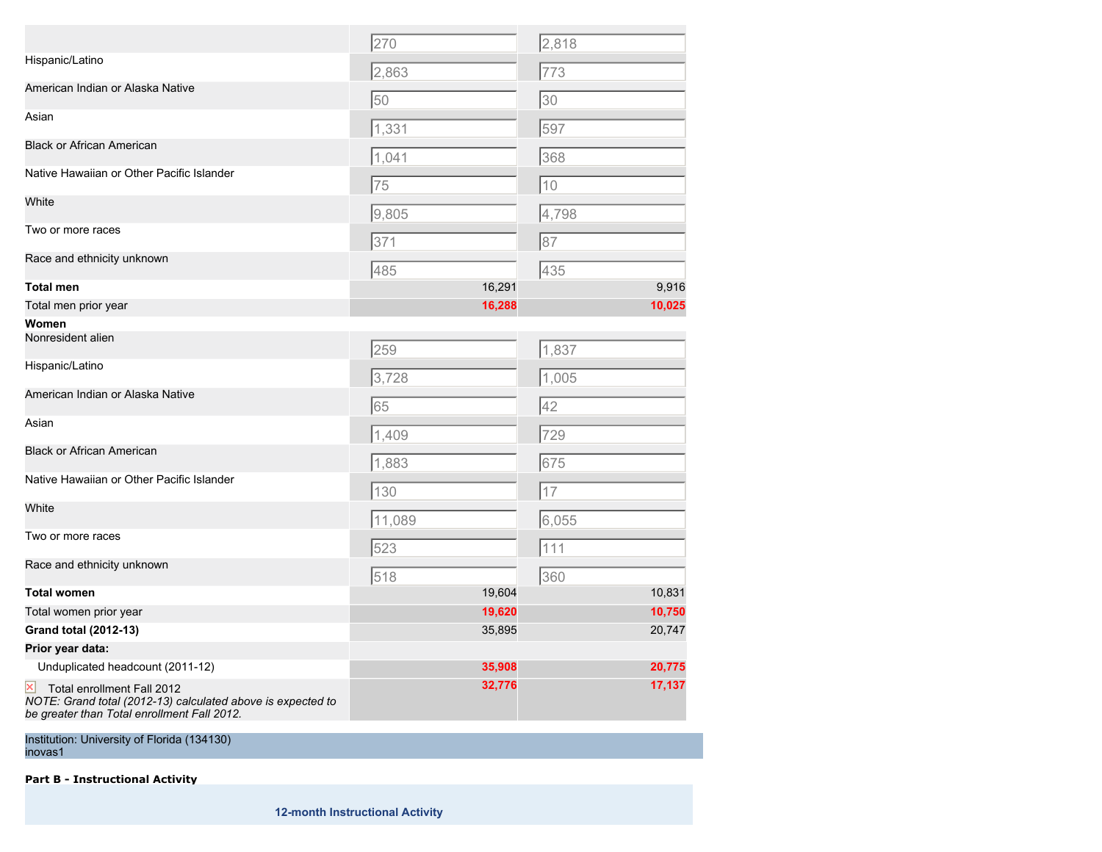| 270   |                                                                                             | 2,818                                |                                                                                                      |
|-------|---------------------------------------------------------------------------------------------|--------------------------------------|------------------------------------------------------------------------------------------------------|
|       |                                                                                             |                                      |                                                                                                      |
|       |                                                                                             |                                      |                                                                                                      |
|       |                                                                                             |                                      |                                                                                                      |
|       |                                                                                             |                                      |                                                                                                      |
|       |                                                                                             |                                      |                                                                                                      |
|       |                                                                                             |                                      |                                                                                                      |
| 75    |                                                                                             | 10                                   |                                                                                                      |
| 9,805 |                                                                                             |                                      |                                                                                                      |
|       |                                                                                             |                                      |                                                                                                      |
|       |                                                                                             |                                      |                                                                                                      |
|       |                                                                                             |                                      | 9,916                                                                                                |
|       | 16,288                                                                                      |                                      | 10,025                                                                                               |
|       |                                                                                             |                                      |                                                                                                      |
| 259   |                                                                                             |                                      |                                                                                                      |
|       |                                                                                             |                                      |                                                                                                      |
|       |                                                                                             |                                      |                                                                                                      |
|       |                                                                                             |                                      |                                                                                                      |
|       |                                                                                             |                                      |                                                                                                      |
| 1,883 |                                                                                             | 675                                  |                                                                                                      |
| 130   |                                                                                             | 17                                   |                                                                                                      |
|       |                                                                                             |                                      |                                                                                                      |
|       |                                                                                             |                                      |                                                                                                      |
|       |                                                                                             |                                      |                                                                                                      |
|       |                                                                                             |                                      | 10,831                                                                                               |
|       |                                                                                             |                                      | 10,750                                                                                               |
|       |                                                                                             |                                      | 20,747                                                                                               |
|       |                                                                                             |                                      |                                                                                                      |
|       | 35,908                                                                                      |                                      | 20,775                                                                                               |
|       | 32,776                                                                                      |                                      | 17,137                                                                                               |
|       | 2,863<br>50<br>1,331<br>1,041<br>371<br>485<br>3,728<br>65<br>1,409<br>11,089<br>523<br>518 | 16,291<br>19,604<br>19,620<br>35,895 | 773<br>30<br>597<br>368<br>4,798<br>87<br>435<br>1,837<br>1,005<br>42<br>729<br>6,055<br> 111<br>360 |

Institution: University of Florida (134130) inovas1

**Part B - Instructional Activity**

**12-month Instructional Activity**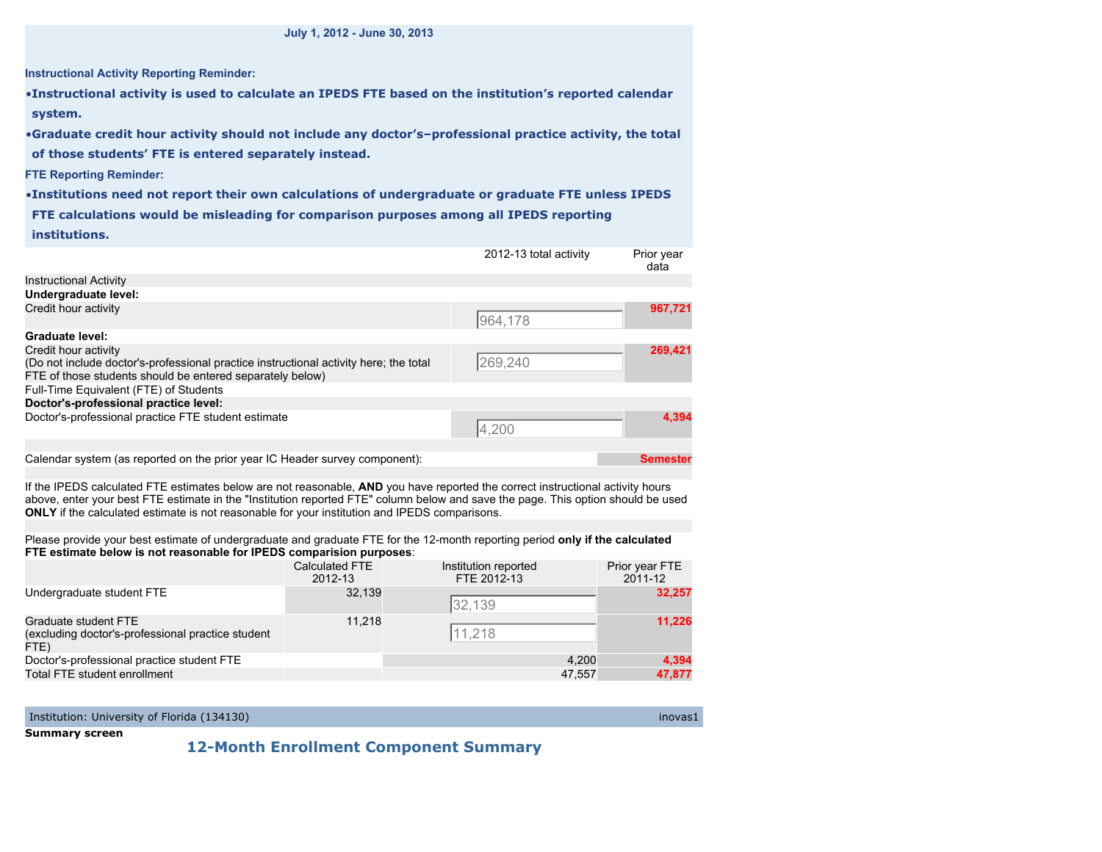**Instructional Activity Reporting Reminder:**

•**Instructional activity is used to calculate an IPEDS FTE based on the institution's reported calendar system.**

•**Graduate credit hour activity should not include any doctor's–professional practice activity, the total of those students' FTE is entered separately instead.**

**FTE Reporting Reminder:**

•**Institutions need not report their own calculations of undergraduate or graduate FTE unless IPEDS**

**FTE calculations would be misleading for comparison purposes among all IPEDS reporting institutions.**

|                                                                                                                                                                            | 2012-13 total activity | Prior year<br>data |
|----------------------------------------------------------------------------------------------------------------------------------------------------------------------------|------------------------|--------------------|
| <b>Instructional Activity</b>                                                                                                                                              |                        |                    |
| Undergraduate level:                                                                                                                                                       |                        |                    |
| Credit hour activity                                                                                                                                                       | 964,178                | 967,721            |
| Graduate level:                                                                                                                                                            |                        |                    |
| Credit hour activity<br>(Do not include doctor's-professional practice instructional activity here; the total<br>FTE of those students should be entered separately below) | 269,240                | 269.421            |
| Full-Time Equivalent (FTE) of Students                                                                                                                                     |                        |                    |
| Doctor's-professional practice level:                                                                                                                                      |                        |                    |
| Doctor's-professional practice FTE student estimate                                                                                                                        | 4,200                  | 4,394              |
|                                                                                                                                                                            |                        |                    |
| Calendar system (as reported on the prior year IC Header survey component):                                                                                                |                        | <b>Semester</b>    |

If the IPEDS calculated FTE estimates below are not reasonable, **AND** you have reported the correct instructional activity hours above, enter your best FTE estimate in the "Institution reported FTE" column below and save the page. This option should be used **ONLY** if the calculated estimate is not reasonable for your institution and IPEDS comparisons.

Please provide your best estimate of undergraduate and graduate FTE for the 12-month reporting period **only if the calculated FTE estimate below is not reasonable for IPEDS comparision purposes**:

|                                                                                   | Calculated FTE | Institution reported | Prior year FTE |
|-----------------------------------------------------------------------------------|----------------|----------------------|----------------|
|                                                                                   | 2012-13        | FTE 2012-13          | 2011-12        |
| Undergraduate student FTE                                                         | 32.139         | 32,139               | 32,257         |
| Graduate student FTE<br>(excluding doctor's-professional practice student<br>FTE) | 11.218         | 11,218               | 11,226         |
| Doctor's-professional practice student FTE                                        |                | 4.200                | 4,394          |
| Total FTE student enrollment                                                      |                | 47.557               | 47,877         |

Institution: University of Florida (134130) include the control of the control of the control of the control of the control of the control of the control of the control of the control of the control of the control of the c

**Summary screen**

**12-Month Enrollment Component Summary**